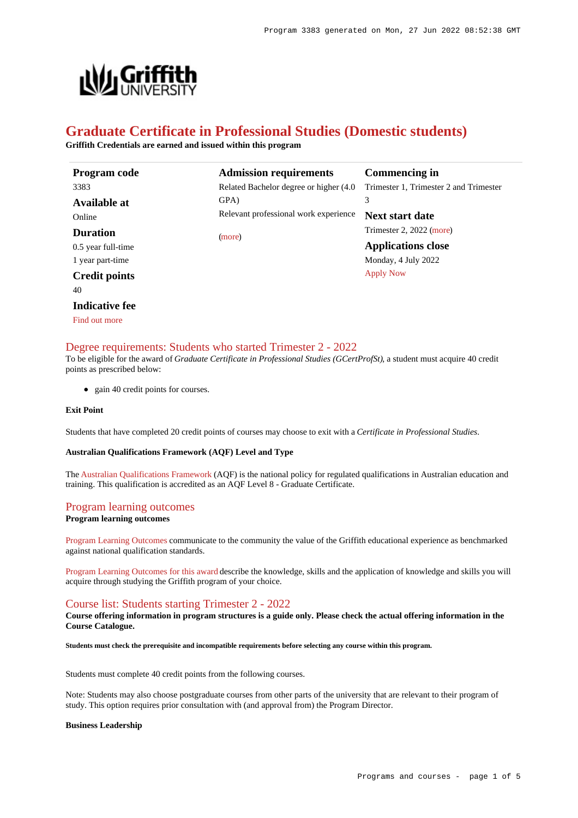

# **Graduate Certificate in Professional Studies (Domestic students)**

**Griffith Credentials are earned and issued within this program**

| Program code         | <b>Admission requirements</b>           | <b>Commencing in</b>                   |
|----------------------|-----------------------------------------|----------------------------------------|
| 3383                 | Related Bachelor degree or higher (4.0) | Trimester 1, Trimester 2 and Trimester |
| Available at         | GPA)                                    | 3                                      |
| Online               | Relevant professional work experience   | Next start date                        |
| <b>Duration</b>      | (more)                                  | Trimester 2, 2022 (more)               |
| 0.5 year full-time   |                                         | <b>Applications close</b>              |
| 1 year part-time     |                                         | Monday, 4 July 2022                    |
| <b>Credit points</b> |                                         | <b>Apply Now</b>                       |
| 40                   |                                         |                                        |

#### **Indicative fee**

[Find out more](https://www148.griffith.edu.au/programs-courses/Program/3383/Overview/Domestic#fees)

#### [Degree requirements: Students who started Trimester 2 - 2022](https://www148.griffith.edu.au/programs-courses/Program/3383/Courses/Domestic#degree-requirements)

To be eligible for the award of *Graduate Certificate in Professional Studies (GCertProfSt)*, a student must acquire 40 credit points as prescribed below:

• gain 40 credit points for courses.

### **Exit Point**

Students that have completed 20 credit points of courses may choose to exit with a *Certificate in Professional Studies*.

#### **Australian Qualifications Framework (AQF) Level and Type**

The [Australian Qualifications Framework](http://www.aqf.edu.au/) (AQF) is the national policy for regulated qualifications in Australian education and training. This qualification is accredited as an AQF Level 8 - Graduate Certificate.

#### [Program learning outcomes](https://www148.griffith.edu.au/programs-courses/Program/3383/Courses/Domestic#programLearningOutcomes)

### **Program learning outcomes**

[Program Learning Outcomes](https://www.griffith.edu.au/__data/assets/pdf_file/0017/134522/PLO-general-advice.pdf) communicate to the community the value of the Griffith educational experience as benchmarked against national qualification standards.

[Program Learning Outcomes for this award](https://www.griffith.edu.au/__data/assets/pdf_file/0040/1563988/GCertProfessionalStudies-PLO-L8.pdf) describe the knowledge, skills and the application of knowledge and skills you will acquire through studying the Griffith program of your choice.

#### [Course list: Students starting Trimester 2 - 2022](https://www148.griffith.edu.au/programs-courses/Program/3383/Courses/Domestic#course-list-content)

**Course offering information in program structures is a guide only. Please check the actual offering information in the Course Catalogue.**

**Students must check the prerequisite and incompatible requirements before selecting any course within this program.**

Students must complete 40 credit points from the following courses.

Note: Students may also choose postgraduate courses from other parts of the university that are relevant to their program of study. This option requires prior consultation with (and approval from) the Program Director.

#### **Business Leadership**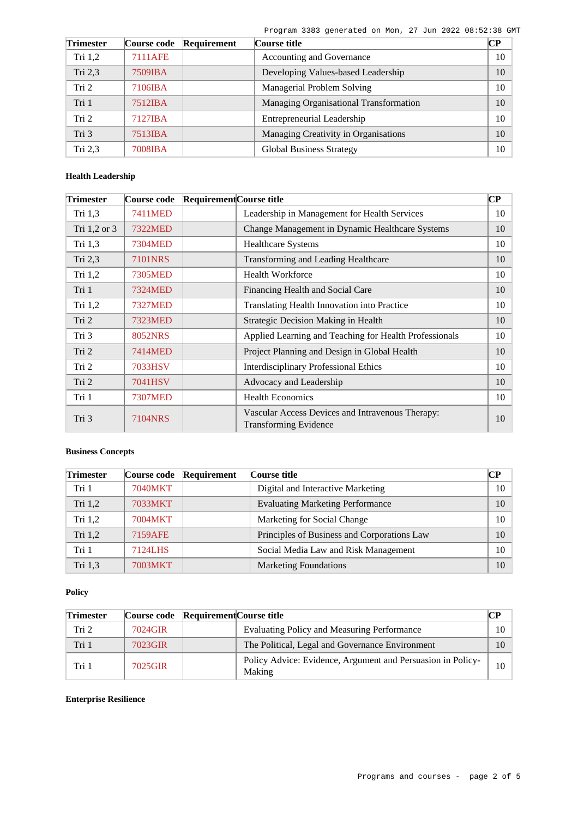Program 3383 generated on Mon, 27 Jun 2022 08:52:38 GMT

| <b>Trimester</b> | Course code | Requirement | Course title                           | CР |
|------------------|-------------|-------------|----------------------------------------|----|
| Tri $1,2$        | 7111AFE     |             | Accounting and Governance              | 10 |
| Tri $2,3$        | 7509IBA     |             | Developing Values-based Leadership     | 10 |
| Tri 2            | 7106IBA     |             | Managerial Problem Solving             | 10 |
| Tri 1            | $7512$ IBA  |             | Managing Organisational Transformation | 10 |
| Tri 2            | 7127IBA     |             | <b>Entrepreneurial Leadership</b>      | 10 |
| Tri 3            | 7513IBA     |             | Managing Creativity in Organisations   | 10 |
| Tri $2,3$        | 7008IBA     |             | <b>Global Business Strategy</b>        | 10 |

# **Health Leadership**

| <b>Trimester</b> | Course code    | Requirement Course title                                                         | $\overline{\mathbf{CP}}$ |
|------------------|----------------|----------------------------------------------------------------------------------|--------------------------|
| Tri 1,3          | 7411MED        | Leadership in Management for Health Services                                     | 10                       |
| Tri 1,2 or 3     | 7322MED        | Change Management in Dynamic Healthcare Systems                                  | 10                       |
| Tri $1,3$        | 7304MED        | <b>Healthcare Systems</b>                                                        | 10                       |
| Tri 2,3          | 7101NRS        | Transforming and Leading Healthcare                                              | 10                       |
| Tri 1,2          | 7305MED        | <b>Health Workforce</b>                                                          | 10                       |
| Tri 1            | <b>7324MED</b> | Financing Health and Social Care                                                 | 10                       |
| Tri $1,2$        | <b>7327MED</b> | Translating Health Innovation into Practice                                      | 10                       |
| Tri 2            | <b>7323MED</b> | Strategic Decision Making in Health                                              | 10                       |
| Tri 3            | <b>8052NRS</b> | Applied Learning and Teaching for Health Professionals                           | 10                       |
| Tri 2            | 7414MED        | Project Planning and Design in Global Health                                     | 10                       |
| Tri 2            | 7033HSV        | <b>Interdisciplinary Professional Ethics</b>                                     | 10                       |
| Tri 2            | 7041HSV        | Advocacy and Leadership                                                          | 10                       |
| Tri 1            | 7307MED        | <b>Health Economics</b>                                                          | 10                       |
| Tri 3            | 7104NRS        | Vascular Access Devices and Intravenous Therapy:<br><b>Transforming Evidence</b> | 10                       |

# **Business Concepts**

| <b>Trimester</b> |         | Course code Requirement | Course title                                | CР |
|------------------|---------|-------------------------|---------------------------------------------|----|
| Tri 1            | 7040MKT |                         | Digital and Interactive Marketing           | 10 |
| Tri 1,2          | 7033MKT |                         | <b>Evaluating Marketing Performance</b>     | 10 |
| Tri $1,2$        | 7004MKT |                         | Marketing for Social Change                 | 10 |
| Tri $1,2$        | 7159AFE |                         | Principles of Business and Corporations Law | 10 |
| Tri 1            | 7124LHS |                         | Social Media Law and Risk Management        | 10 |
| Tri 1.3          | 7003MKT |                         | <b>Marketing Foundations</b>                | 10 |

# **Policy**

| <b>Trimester</b> | Course code Requirement Course title |                                                                       | CР |
|------------------|--------------------------------------|-----------------------------------------------------------------------|----|
| Tri <sub>2</sub> | 7024GIR                              | <b>Evaluating Policy and Measuring Performance</b>                    | 10 |
| Tri 1            | 7023GIR                              | The Political, Legal and Governance Environment                       | 10 |
| Tri 1            | 7025GIR                              | Policy Advice: Evidence, Argument and Persuasion in Policy-<br>Making | 10 |

### **Enterprise Resilience**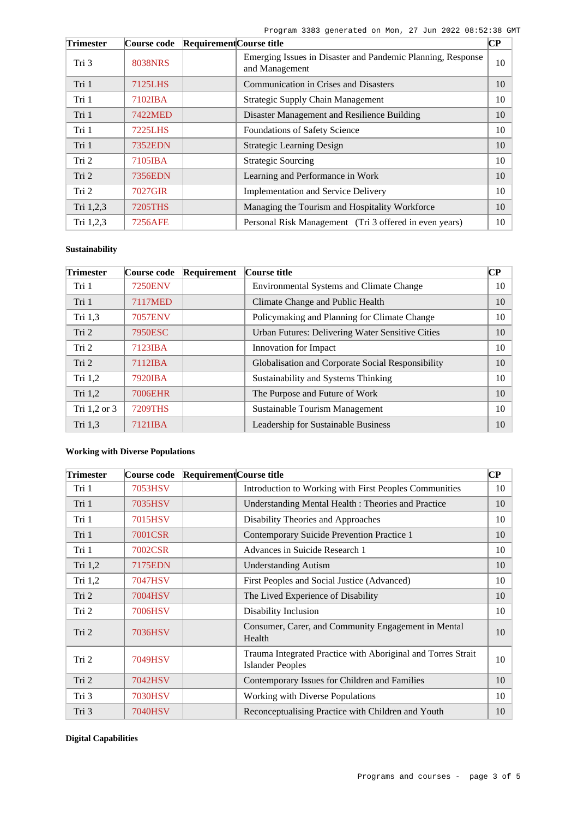| <b>Trimester</b> | Course code    | <b>Requirement</b> Course title |                                                                               | $\bf CP$ |
|------------------|----------------|---------------------------------|-------------------------------------------------------------------------------|----------|
| Tri 3            | <b>8038NRS</b> |                                 | Emerging Issues in Disaster and Pandemic Planning, Response<br>and Management | 10       |
| Tri 1            | <b>7125LHS</b> |                                 | <b>Communication in Crises and Disasters</b>                                  | 10       |
| Tri 1            | 7102IBA        |                                 | Strategic Supply Chain Management                                             | 10       |
| Tri 1            | 7422MED        |                                 | Disaster Management and Resilience Building                                   | 10       |
| Tri 1            | <b>7225LHS</b> |                                 | Foundations of Safety Science                                                 | 10       |
| Tri 1            | <b>7352EDN</b> |                                 | <b>Strategic Learning Design</b>                                              | 10       |
| Tri 2            | 7105IBA        |                                 | <b>Strategic Sourcing</b>                                                     | 10       |
| Tri 2            | 7356EDN        |                                 | Learning and Performance in Work                                              | 10       |
| Tri 2            | 7027GIR        |                                 | <b>Implementation and Service Delivery</b>                                    | 10       |
| Tri 1,2,3        | <b>7205THS</b> |                                 | Managing the Tourism and Hospitality Workforce                                | 10       |
| Tri 1,2,3        | <b>7256AFE</b> |                                 | Personal Risk Management (Tri 3 offered in even years)                        | 10       |

# **Sustainability**

| <b>Trimester</b> | Course code    | Requirement | Course title                                      | CР |
|------------------|----------------|-------------|---------------------------------------------------|----|
| Tri 1            | <b>7250ENV</b> |             | <b>Environmental Systems and Climate Change</b>   | 10 |
| Tri 1            | <b>7117MED</b> |             | Climate Change and Public Health                  | 10 |
| Tri 1,3          | <b>7057ENV</b> |             | Policymaking and Planning for Climate Change      | 10 |
| Tri 2            | 7950ESC        |             | Urban Futures: Delivering Water Sensitive Cities  | 10 |
| Tri 2            | 7123IBA        |             | Innovation for Impact                             | 10 |
| Tri 2            | 7112IBA        |             | Globalisation and Corporate Social Responsibility | 10 |
| Tri $1,2$        | 7920IBA        |             | Sustainability and Systems Thinking               | 10 |
| Tri 1,2          | <b>7006EHR</b> |             | The Purpose and Future of Work                    | 10 |
| Tri 1,2 or 3     | <b>7209THS</b> |             | Sustainable Tourism Management                    | 10 |
| Tri 1,3          | 7121IBA        |             | Leadership for Sustainable Business               | 10 |

### **Working with Diverse Populations**

| <b>Trimester</b> | <b>Course code</b> | Requirement Course title |                                                                                         | $\overline{\mathbf{C}\mathbf{P}}$ |
|------------------|--------------------|--------------------------|-----------------------------------------------------------------------------------------|-----------------------------------|
| Tri 1            | 7053HSV            |                          | Introduction to Working with First Peoples Communities                                  | 10                                |
| Tri 1            | 7035HSV            |                          | Understanding Mental Health : Theories and Practice                                     | 10                                |
| Tri 1            | 7015HSV            |                          | Disability Theories and Approaches                                                      | 10                                |
| Tri 1            | 7001CSR            |                          | Contemporary Suicide Prevention Practice 1                                              | 10                                |
| Tri 1            | 7002CSR            |                          | Advances in Suicide Research 1                                                          | 10                                |
| Tri 1,2          | <b>7175EDN</b>     |                          | <b>Understanding Autism</b>                                                             | 10                                |
| Tri 1,2          | 7047HSV            |                          | First Peoples and Social Justice (Advanced)                                             | 10                                |
| Tri 2            | 7004HSV            |                          | The Lived Experience of Disability                                                      | 10                                |
| Tri 2            | 7006HSV            |                          | Disability Inclusion                                                                    | 10                                |
| Tri 2            | 7036HSV            |                          | Consumer, Carer, and Community Engagement in Mental<br>Health                           | 10                                |
| Tri 2            | 7049HSV            |                          | Trauma Integrated Practice with Aboriginal and Torres Strait<br><b>Islander Peoples</b> | 10                                |
| Tri 2            | 7042HSV            |                          | Contemporary Issues for Children and Families                                           | 10                                |
| Tri 3            | <b>7030HSV</b>     |                          | Working with Diverse Populations                                                        | 10                                |
| Tri 3            | <b>7040HSV</b>     |                          | Reconceptualising Practice with Children and Youth                                      | 10                                |

**Digital Capabilities**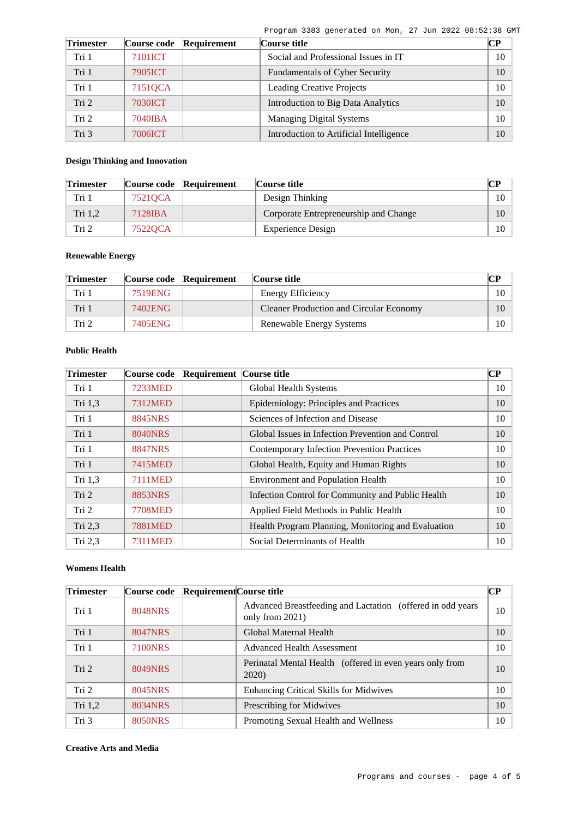Program 3383 generated on Mon, 27 Jun 2022 08:52:38 GMT

| <b>Trimester</b> | Course code    | Requirement | Course title                            | <b>CP</b> |
|------------------|----------------|-------------|-----------------------------------------|-----------|
| Tri 1            | <b>7101ICT</b> |             | Social and Professional Issues in IT    | 10        |
| Tri 1            | <b>7905ICT</b> |             | <b>Fundamentals of Cyber Security</b>   | 10        |
| Tri 1            | 7151QCA        |             | <b>Leading Creative Projects</b>        | 10        |
| Tri <sub>2</sub> | <b>7030ICT</b> |             | Introduction to Big Data Analytics      | 10        |
| Tri 2            | 7040IBA        |             | <b>Managing Digital Systems</b>         | 10        |
| Tri 3            | 7006ICT        |             | Introduction to Artificial Intelligence | 10        |

### **Design Thinking and Innovation**

| <b>Trimester</b> |         | Course code Requirement | Course title                          | $\bf CP$ |
|------------------|---------|-------------------------|---------------------------------------|----------|
| Tri 1            | 75210CA |                         | Design Thinking                       | 10       |
| Tri $1,2$        | 7128IBA |                         | Corporate Entrepreneurship and Change | 10       |
| Tri 2            | 75220CA |                         | Experience Design                     | 10       |

### **Renewable Energy**

| <b>Trimester</b> |         | Course code Requirement | Course title                                   | <b>CP</b> |
|------------------|---------|-------------------------|------------------------------------------------|-----------|
| Tri 1            | 7519ENG |                         | <b>Energy Efficiency</b>                       | 10        |
| Tri 1            | 7402ENG |                         | <b>Cleaner Production and Circular Economy</b> | 10        |
| Tri 2            | 7405ENG |                         | Renewable Energy Systems                       | 10        |

# **Public Health**

| <b>Trimester</b> | Course code    | <b>Requirement Course title</b> |                                                    | $\bf CP$ |
|------------------|----------------|---------------------------------|----------------------------------------------------|----------|
| Tri 1            | <b>7233MED</b> |                                 | Global Health Systems                              | 10       |
| Tri 1,3          | <b>7312MED</b> |                                 | Epidemiology: Principles and Practices             | 10       |
| Tri 1            | <b>8845NRS</b> |                                 | Sciences of Infection and Disease                  | 10       |
| Tri 1            | <b>8040NRS</b> |                                 | Global Issues in Infection Prevention and Control  | 10       |
| Tri 1            | <b>8847NRS</b> |                                 | <b>Contemporary Infection Prevention Practices</b> | 10       |
| Tri 1            | 7415MED        |                                 | Global Health, Equity and Human Rights             | 10       |
| Tri 1,3          | <b>7111MED</b> |                                 | <b>Environment and Population Health</b>           | 10       |
| Tri 2            | <b>8853NRS</b> |                                 | Infection Control for Community and Public Health  | 10       |
| Tri 2            | 7708MED        |                                 | Applied Field Methods in Public Health             | 10       |
| Tri 2,3          | <b>7881MED</b> |                                 | Health Program Planning, Monitoring and Evaluation | 10       |
| Tri $2,3$        | <b>7311MED</b> |                                 | Social Determinants of Health                      | 10       |

### **Womens Health**

| Trimester | Course code    | Requirement Course title |                                                                                | CР |
|-----------|----------------|--------------------------|--------------------------------------------------------------------------------|----|
| Tri 1     | <b>8048NRS</b> |                          | Advanced Breastfeeding and Lactation (offered in odd years)<br>only from 2021) | 10 |
| Tri 1     | 8047NRS        |                          | Global Maternal Health                                                         | 10 |
| Tri 1     | 7100NRS        |                          | <b>Advanced Health Assessment</b>                                              | 10 |
| Tri 2     | <b>8049NRS</b> |                          | Perinatal Mental Health (offered in even years only from<br>2020)              | 10 |
| Tri 2     | 8045NRS        |                          | <b>Enhancing Critical Skills for Midwives</b>                                  | 10 |
| Tri 1,2   | 8034NRS        |                          | Prescribing for Midwives                                                       | 10 |
| Tri 3     | 8050NRS        |                          | Promoting Sexual Health and Wellness                                           | 10 |

#### **Creative Arts and Media**